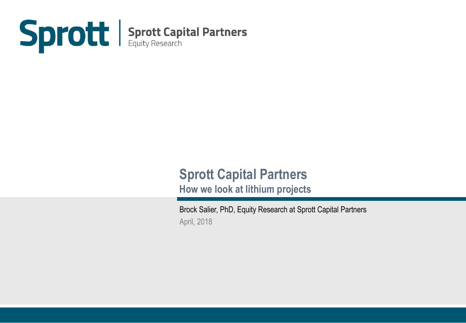

# **Sprott Capital Partners**

**How we look at lithium projects**

Brock Salier, PhD, Equity Research at Sprott Capital Partners April, 2018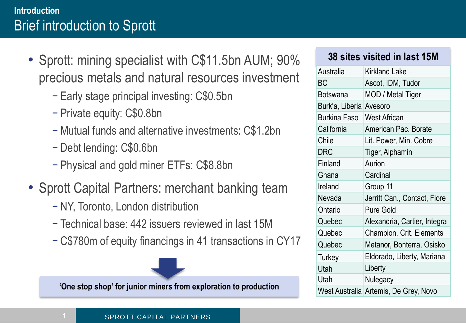#### **Introduction** Brief introduction to Sprott

- Sprott: mining specialist with C\$11.5bn AUM; 90% precious metals and natural resources investment
	- − Early stage principal investing: C\$0.5bn
	- − Private equity: C\$0.8bn
	- − Mutual funds and alternative investments: C\$1.2bn
	- − Debt lending: C\$0.6bn
	- − Physical and gold miner ETFs: C\$8.8bn
- Sprott Capital Partners: merchant banking team
	- − NY, Toronto, London distribution
	- − Technical base: 442 issuers reviewed in last 15M
	- − C\$780m of equity financings in 41 transactions in CY17



'One stop shop' for junior miners from exploration to production

#### **38 sites visited in last 15M**

| Australia       | <b>Kirkland Lake</b>                  |
|-----------------|---------------------------------------|
| <b>BC</b>       | Ascot, IDM, Tudor                     |
| Botswana        | MOD / Metal Tiger                     |
| Burk'a, Liberia | Avesoro                               |
| Burkina Faso    | <b>West African</b>                   |
| California      | American Pac. Borate                  |
| Chile           | Lit. Power, Min. Cobre                |
| <b>DRC</b>      | Tiger, Alphamin                       |
| Finland         | Aurion                                |
| Ghana           | Cardinal                              |
| Ireland         | Group 11                              |
| Nevada          | Jerritt Can., Contact, Fiore          |
| Ontario         | <b>Pure Gold</b>                      |
| Quebec          | Alexandria, Cartier, Integra          |
| Quebec          | Champion, Crit. Elements              |
| Quebec          | Metanor, Bonterra, Osisko             |
| <b>Turkey</b>   | Eldorado, Liberty, Mariana            |
| Utah            | Liberty                               |
| Utah            | Nulegacy                              |
|                 | West Australia Artemis, De Grey, Novo |

#### SPROTT CAPITAL PARTNERS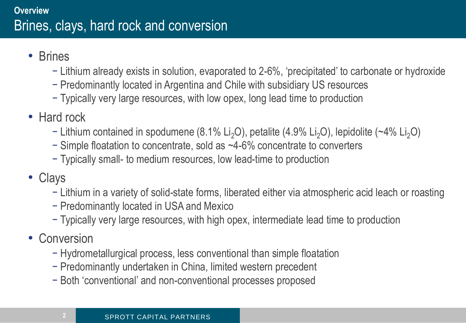- Brines
	- − Lithium already exists in solution, evaporated to 2-6%, 'precipitated' to carbonate or hydroxide
	- − Predominantly located in Argentina and Chile with subsidiary US resources
	- − Typically very large resources, with low opex, long lead time to production
- Hard rock
	- − Lithium contained in spodumene (8.1% Li<sub>2</sub>O), petalite (4.9% Li<sub>2</sub>O), lepidolite (~4% Li<sub>2</sub>O)
	- − Simple floatation to concentrate, sold as ~4-6% concentrate to converters
	- − Typically small- to medium resources, low lead-time to production
- Clays
	- − Lithium in a variety of solid-state forms, liberated either via atmospheric acid leach or roasting
	- − Predominantly located in USA and Mexico
	- − Typically very large resources, with high opex, intermediate lead time to production
- Conversion
	- − Hydrometallurgical process, less conventional than simple floatation
	- − Predominantly undertaken in China, limited western precedent
	- − Both 'conventional' and non-conventional processes proposed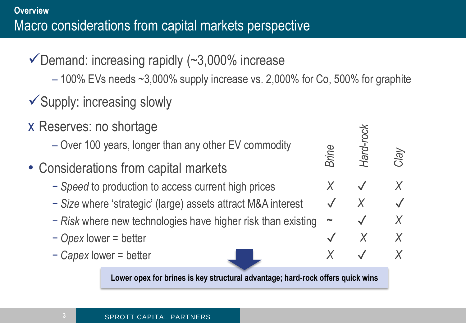- $\checkmark$  Demand: increasing rapidly (~3,000% increase
	- $-100\%$  EVs needs  $\sim$ 3,000% supply increase vs. 2,000% for Co, 500% for graphite
- $\checkmark$  Supply: increasing slowly
- x Reserves: no shortage
	- Over 100 years, longer than any other EV commodity
- Considerations from capital markets
	- − *Speed* to production to access current high prices
	- − *Size* where 'strategic' (large) assets attract M&A interest
	- − *Risk* where new technologies have higher risk than existing
	- − *Opex* lower = better
	- − *Capex* lower = better

**Lower opex for brines is key structural advantage; hard-rock offers quick wins**

*X* ✓ *X*

*-rock*

✓ *X* ✓

*Brine*<br> *X V X X X*<br> *X X X X*<br> *X X X X*<br> *X X X X* 

**~** ✓ *X*

✓ *X X*

*Clay*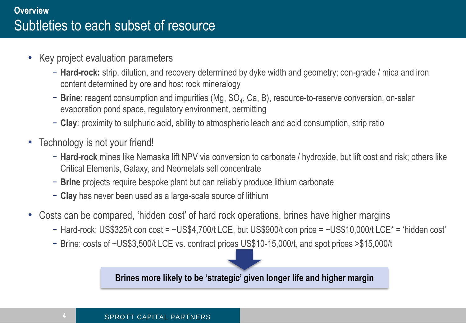- Key project evaluation parameters
	- − **Hard-rock:** strip, dilution, and recovery determined by dyke width and geometry; con-grade / mica and iron content determined by ore and host rock mineralogy
	- − Brine: reagent consumption and impurities (Mg, SO<sub>4</sub>, Ca, B), resource-to-reserve conversion, on-salar evaporation pond space, regulatory environment, permitting
	- − **Clay**: proximity to sulphuric acid, ability to atmospheric leach and acid consumption, strip ratio
- Technology is not your friend!
	- − **Hard-rock** mines like Nemaska lift NPV via conversion to carbonate / hydroxide, but lift cost and risk; others like Critical Elements, Galaxy, and Neometals sell concentrate
	- − **Brine** projects require bespoke plant but can reliably produce lithium carbonate
	- − **Clay** has never been used as a large-scale source of lithium
- Costs can be compared, 'hidden cost' of hard rock operations, brines have higher margins
	- − Hard-rock: US\$325/t con cost = ~US\$4,700/t LCE, but US\$900/t con price = ~US\$10,000/t LCE\* = 'hidden cost'
	- − Brine: costs of ~US\$3,500/t LCE vs. contract prices US\$10-15,000/t, and spot prices >\$15,000/t

**Brines more likely to be 's**t**rategic' given longer life and higher margin**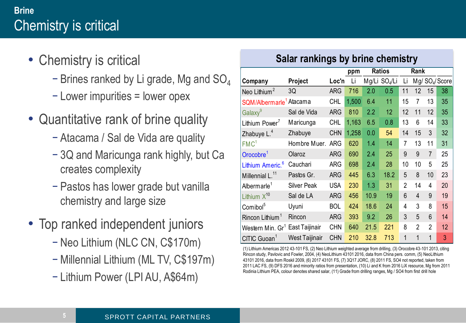## **Brine** Chemistry is critical

- Chemistry is critical
	- − Brines ranked by Li grade, Mg and SO<sup>4</sup>
	- − Lower impurities = lower opex
- Quantitative rank of brine quality
	- − Atacama / Sal de Vida are quality
	- − 3Q and Maricunga rank highly, but Ca creates complexity
	- − Pastos has lower grade but vanilla chemistry and large size
- Top ranked independent juniors
	- − Neo Lithium (NLC CN, C\$170m)
	- − Millennial Lithium (ML TV, C\$197m)
	- − Lithium Power (LPI AU, A\$64m)

#### **Salar rankings by brine chemistry**

|                              |                    |            | ppm   | <b>Ratios</b> |                           | Rank           |                |                |                             |
|------------------------------|--------------------|------------|-------|---------------|---------------------------|----------------|----------------|----------------|-----------------------------|
| Company                      | Project            | Loc'n      | Li    |               | Mg/Li SO <sub>4</sub> /Li | Li             |                |                | Mg/ SO <sub>4</sub> / Score |
| Neo Lithium <sup>2</sup>     | 3Q                 | <b>ARG</b> | 716   | 2.0           | 0.5                       | 11             | 12             | 15             | 38                          |
| SQM/Albermarle <sup>1</sup>  | Atacama            | <b>CHL</b> | 1,500 | 6.4           | 11                        | 15             | 7              | 13             | 35                          |
| Galaxy <sup>9</sup>          | Sal de Vida        | <b>ARG</b> | 810   | 2.2           | 12                        | 12             | 11             | 12             | 35                          |
| Lithium Power <sup>7</sup>   | Maricunga          | CHL        | 1,163 | 6.5           | 0.8                       | 13             | 6              | 14             | 33                          |
| Zhabuye L. <sup>4</sup>      | Zhabuye            | <b>CHN</b> | 1,258 | 0.0           | 54                        | 14             | 15             | 3              | 32                          |
| FMC <sup>1</sup>             | Hombre Muer.       | <b>ARG</b> | 620   | 1.4           | 14                        | 7              | 13             | 11             | 31                          |
| Orocobre <sup>1</sup>        | Olaroz             | <b>ARG</b> | 690   | 2.4           | 25                        | 9              | 9              | $\overline{7}$ | 25                          |
| Lithium Americ. <sup>6</sup> | Cauchari           | <b>ARG</b> | 698   | 2.4           | 28                        | 10             | 10             | 5              | 25                          |
| Millennial L. <sup>11</sup>  | Pastos Gr.         | <b>ARG</b> | 445   | 6.3           | 18.2                      | 5              | 8              | 10             | 23                          |
| Albermarle <sup>1</sup>      | <b>Silver Peak</b> | <b>USA</b> | 230   | 1.3           | 31                        | $\overline{2}$ | 14             | 4              | 20                          |
| Lithium $X^{10}$             | Sal de LA          | <b>ARG</b> | 456   | 10.9          | 19                        | 6              | 4              | 9              | 19                          |
| Comibol <sup>5</sup>         | Uyuni              | <b>BOL</b> | 424   | 18.6          | 24                        | 4              | 3              | 8              | 15                          |
| Rincon Lithium <sup>1</sup>  | Rincon             | <b>ARG</b> | 393   | 9.2           | 26                        | 3              | 5              | 6              | 14                          |
| Western Min. Gr <sup>1</sup> | East Taijinair     | <b>CHN</b> | 640   | 21.5          | 221                       | 8              | $\overline{2}$ | $\overline{2}$ | 12                          |
| CITIC Guoan <sup>1</sup>     | West Taijinair     | <b>CHN</b> | 210   | 32.8          | 713                       | 1              | 1              | 1              | 3                           |

(1) Lithium Americas 2012 43-101 FS, (2) Neo Lithium weighted average from drilling, (3) Orocobre 43-101 2013, citing Rincon study, Pavlovic and Fowler, 2004, (4) NeoLithium 43101 2016, data from China pers. comm, (5) NeoLithium 43101 2016, data from Roskil 2009, (6) 2017 43101 FS, (7) 3Q17 JORC, (8) 2011 FS, SO4 not reported, taken from 2011 LAC FS, (9) DFS 2016 and minority ratios from presentation, (10) Li and K from 2016 LiX resource, Mg from 2011 Rodinia Lithium PEA, colour denotes shared salar, (11) Grade from drilling ranges, Mg / SO4 from first drill hole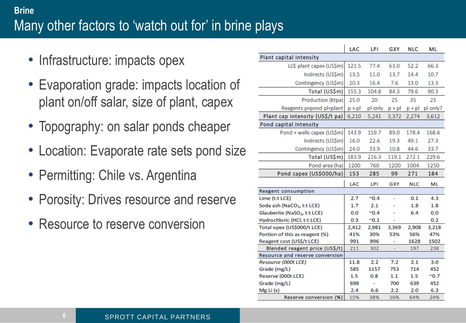## **Brine** Many other factors to 'watch out for' in brine plays

- Infrastructure: impacts opex
- Evaporation grade: impacts location of plant on/off salar, size of plant, capex
- Topography: on salar ponds cheaper
- Location: Evaporate rate sets pond size
- Permitting: Chile vs. Argentina
- Porosity: Drives resource and reserve
- Resource to reserve conversion

|                                          | LAC      | LPI            | GXY      | <b>NLC</b> | ML           |
|------------------------------------------|----------|----------------|----------|------------|--------------|
| Plant capital intensity                  |          |                |          |            |              |
| LCE plant capex (US\$m)                  | 121.5    | 77.4           | 63.0     | 52.2       | 66.3         |
| Indirects (US\$m)                        | 13.5     | 11.0           | 13.7     | 14.4       | 10.7         |
| Contingency (US\$m)                      | 20.3     | 16.4           | 7.6      | 13.0       | 13.3         |
| Total (US\$m)                            | 155.3    | 104.8          | 84.3     | 79.6       | 90.3         |
| Production (ktpa)                        | 25.0     | 20             | 25       | 35         | 25           |
| Reagents p=pond pl=plant                 | $p + pl$ | pl only        | $p + pl$ | $p + pl$   | pl only?     |
| Plant cap intensity (US\$/t pa)          | 6,210    | 5,241          | 3,372    | 2,274      | 3,612        |
| Pond capital intensity                   |          |                |          |            |              |
| Pond + wells capex (US\$m)               | 143.9    | 159.7          | 89.0     | 178.4      | 168.6        |
| Indirects (US\$m)                        | 16.0     | 22.6           | 19.3     | 49.1       | 27.3         |
| Contingency (US\$m)                      | 24.0     | 33.9           | 10.8     | 44.6       | 33.7         |
| Total (US\$m)                            | 183.9    | 216.3          | 119.1    | 272.1      | 229.6        |
| Pond area (ha)                           | 1200     | 760            | 1200     | 1004       | 1250         |
| Pond capex (US\$000/ha)                  | 153      | 285            | 99       | 271        | 184          |
|                                          |          |                |          |            |              |
| Reagent consumption                      | LAC      | LPI            | GXY      | <b>NLC</b> | ML           |
| Lime (t:t LCE)                           | 2.7      | $^{\sim}0.4$   |          | 0.1        | 4.3          |
| Soda ash (NaCO <sub>3</sub> , t:t LCE)   | 1.7      | 2.1            |          | 1.8        | 1.8          |
| Glauberite (NaSO <sub>4</sub> , t:t LCE) | 0.0      | $^{\sim}0.4$   |          | 6.4        | 0.0          |
| Hydrochloric (HCl, t:t LCE)              | 0.3      | $^{\sim}0.1$   |          |            | 0.2          |
| Total opex (US\$000/t LCE)               | 2,412    | 2,981          | 3,369    | 2,908      | 3,218        |
| Portion of this as reagent (%)           | 41%      | 30%            | 53%      | 56%        | 47%          |
| Reagent cost (US\$/t LCE)                | 991      | 896            |          | 1628       | 1502         |
| Blended reagent price (US\$/t)           | 211      | 302            |          | 197        | 238          |
| Resource and reserve conversion          |          |                |          |            |              |
| Resource (000t LCE)                      | 11.8     | 2.2            | 7.2      | 2.1        | 3.0          |
| Grade (mg/L)                             | 585      | 1157           | 753      | 714        | 452          |
| Reserve (000t LCE)                       | 1.5      | 0.8            | 1.1      | 1.5        | $^{\sim}0.7$ |
| Grade (mg/L)                             | 698      | $\overline{a}$ | 700      | 639        | 452          |
| Mg:Li(x)                                 | 2.4      | 6.6            | 2.2      | 2.0        | 6.3          |
| Reserve conversion (%)                   |          | 38%            | 16%      | 64%        | 24%          |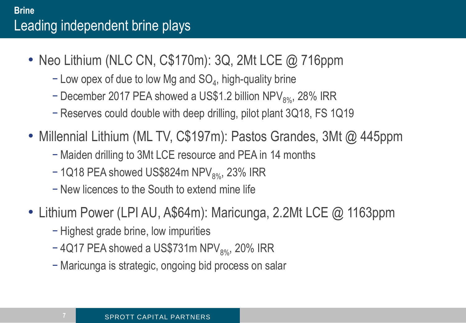- Neo Lithium (NLC CN, C\$170m): 3Q, 2Mt LCE @ 716ppm
	- − Low opex of due to low Mg and SO<sub>4</sub>, high-quality brine
	- − December 2017 PEA showed a US\$1.2 billion NPV<sub>8%</sub>, 28% IRR
	- − Reserves could double with deep drilling, pilot plant 3Q18, FS 1Q19
- Millennial Lithium (ML TV, C\$197m): Pastos Grandes, 3Mt @ 445ppm
	- − Maiden drilling to 3Mt LCE resource and PEA in 14 months
	- $-1$ Q18 PEA showed US\$824m NPV $_{8\%}$ , 23% IRR
	- − New licences to the South to extend mine life
- Lithium Power (LPI AU, A\$64m): Maricunga, 2.2Mt LCE @ 1163ppm
	- − Highest grade brine, low impurities
	- $-$  4Q17 PEA showed a US\$731m NPV $_{8\%}$ , 20% IRR
	- − Maricunga is strategic, ongoing bid process on salar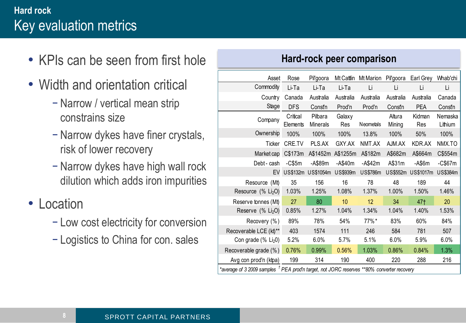## **Hard rock** Key evaluation metrics

- KPIs can be seen from first hole
- Width and orientation critical
	- − Narrow / vertical mean strip constrains size
	- − Narrow dykes have finer crystals, risk of lower recovery
	- − Narrow dykes have high wall rock dilution which adds iron impurities
- Location
	- − Low cost electricity for conversion
	- − Logistics to China for con. sales

#### **Hard-rock peer comparison**

| Asset                                                                                                 | Rose                 | Pil'goora           | Mt Cattlin    | Mt Marion       | Pil'goora        | Earl Grey     | Whab'chi           |  |
|-------------------------------------------------------------------------------------------------------|----------------------|---------------------|---------------|-----------------|------------------|---------------|--------------------|--|
| Commodity                                                                                             | Li-Ta                | Li-Ta               | Li-Ta         | Li              | Li               | Li            | Li                 |  |
| Country                                                                                               | Canada               | Australia           | Australia     | Australia       | Australia        | Australia     | Canada             |  |
| Stage                                                                                                 | <b>DFS</b>           | Constn              | Prod'n        | Prod'n          | Constn           | <b>PEA</b>    | Constn             |  |
| Company                                                                                               | Critical<br>Elements | Pilbara<br>Minerals | Galaxy<br>Res | Neometals       | Altura<br>Mining | Kidman<br>Res | Nemaska<br>Lithium |  |
| Ownership                                                                                             | 100%                 | 100%                | 100%          | 13.8%           | 100%             | 50%           | 100%               |  |
| Ticker                                                                                                | CRE.TV               | PLS.AX              | GXY.AX        | NMT.AX          | AJM.AX           | KDR.AX        | NMX.TO             |  |
| Market cap                                                                                            | C\$173m              | A\$1452m            | A\$1255m      | A\$182m         | A\$682m          | A\$664m       | C\$554m            |  |
| Debt - cash                                                                                           | $-C$5m$              | -A\$89m             | $-$ A\$40m    | $-A$42m$        | A\$31m           | -A\$6m        | $-C$67m$           |  |
| EV                                                                                                    |                      | US\$132m US\$1054m  | US\$939m      | <b>US\$786m</b> | US\$552m         | US\$1017m     | US\$384m           |  |
| Resource<br>(Mt)                                                                                      | 35                   | 156                 | 16            | 78              | 48               | 189           | 44                 |  |
| Resource (% Li <sub>2</sub> O)                                                                        | 1.03%                | 1.25%               | 1.08%         | 1.37%           | 1.00%            | 1.50%         | 1.46%              |  |
| Reserve tonnes (Mt)                                                                                   | 27                   | 80                  | 10            | 12              | 34               | 47†           | 20                 |  |
| Reserve (% Li <sub>2</sub> O)                                                                         | 0.85%                | 1.27%               | 1.04%         | 1.34%           | 1.04%            | 1.40%         | 1.53%              |  |
| Recovery (%)                                                                                          | 89%                  | 78%                 | 54%           | 77%*            | 83%              | 60%           | 84%                |  |
| Recoverable LCE (kt)**                                                                                | 403                  | 1574                | 111           | 246             | 584              | 781           | 507                |  |
| Con grade $(\%$ Li <sub>2</sub> 0)                                                                    | 5.2%                 | 6.0%                | 5.7%          | 5.1%            | 6.0%             | 5.9%          | 6.0%               |  |
| Recoverable grade (%)                                                                                 | 0.76%                | 0.99%               | 0.56%         | 1.03%           | 0.86%            | 0.84%         | 1.3%               |  |
| Avg con prod'n (ktpa)                                                                                 | 199                  | 314                 | 190           | 400             | 220              | 288           | 216                |  |
| *average of 3 2009 samples <sup>†</sup> PEA prod'n target, not JORC reserves **80% converter recovery |                      |                     |               |                 |                  |               |                    |  |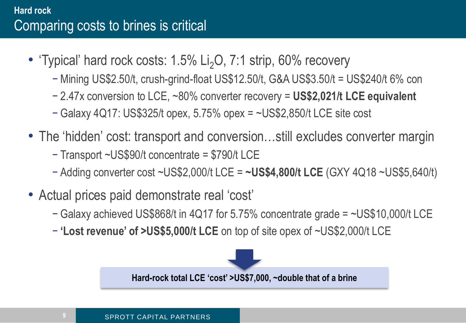## **Hard rock** Comparing costs to brines is critical

- 'Typical' hard rock costs:  $1.5\%$  Li<sub>2</sub>O,  $7:1$  strip,  $60\%$  recovery
	- − Mining US\$2.50/t, crush-grind-float US\$12.50/t, G&A US\$3.50/t = US\$240/t 6% con
	- − 2.47x conversion to LCE, ~80% converter recovery = **US\$2,021/t LCE equivalent**
	- − Galaxy 4Q17: US\$325/t opex, 5.75% opex = ~US\$2,850/t LCE site cost
- The 'hidden' cost: transport and conversion...still excludes converter margin
	- − Transport ~US\$90/t concentrate = \$790/t LCE
	- − Adding converter cost ~US\$2,000/t LCE = **~US\$4,800/t LCE** (GXY 4Q18 ~US\$5,640/t)
- Actual prices paid demonstrate real 'cost'
	- − Galaxy achieved US\$868/t in 4Q17 for 5.75% concentrate grade = ~US\$10,000/t LCE
	- − **'Lost revenue' of >US\$5,000/t LCE** on top of site opex of ~US\$2,000/t LCE

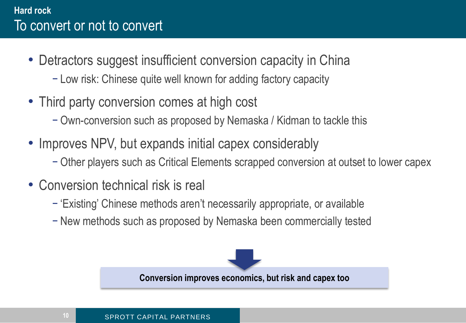#### **Hard rock** To convert or not to convert

- Detractors suggest insufficient conversion capacity in China
	- − Low risk: Chinese quite well known for adding factory capacity
- Third party conversion comes at high cost
	- − Own-conversion such as proposed by Nemaska / Kidman to tackle this
- Improves NPV, but expands initial capex considerably
	- − Other players such as Critical Elements scrapped conversion at outset to lower capex
- Conversion technical risk is real
	- − 'Existing' Chinese methods aren't necessarily appropriate, or available
	- − New methods such as proposed by Nemaska been commercially tested

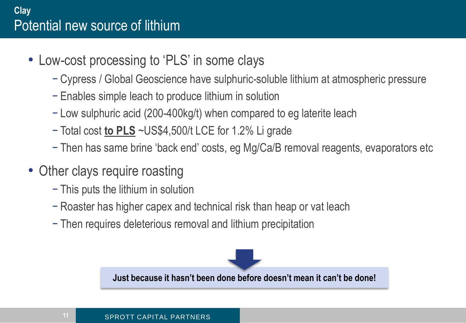#### **Clay** Potential new source of lithium

- Low-cost processing to 'PLS' in some clays
	- − Cypress / Global Geoscience have sulphuric-soluble lithium at atmospheric pressure
	- − Enables simple leach to produce lithium in solution
	- − Low sulphuric acid (200-400kg/t) when compared to eg laterite leach
	- − Total cost **to PLS** ~US\$4,500/t LCE for 1.2% Li grade
	- − Then has same brine 'back end' costs, eg Mg/Ca/B removal reagents, evaporators etc
- Other clays require roasting
	- − This puts the lithium in solution
	- − Roaster has higher capex and technical risk than heap or vat leach
	- − Then requires deleterious removal and lithium precipitation